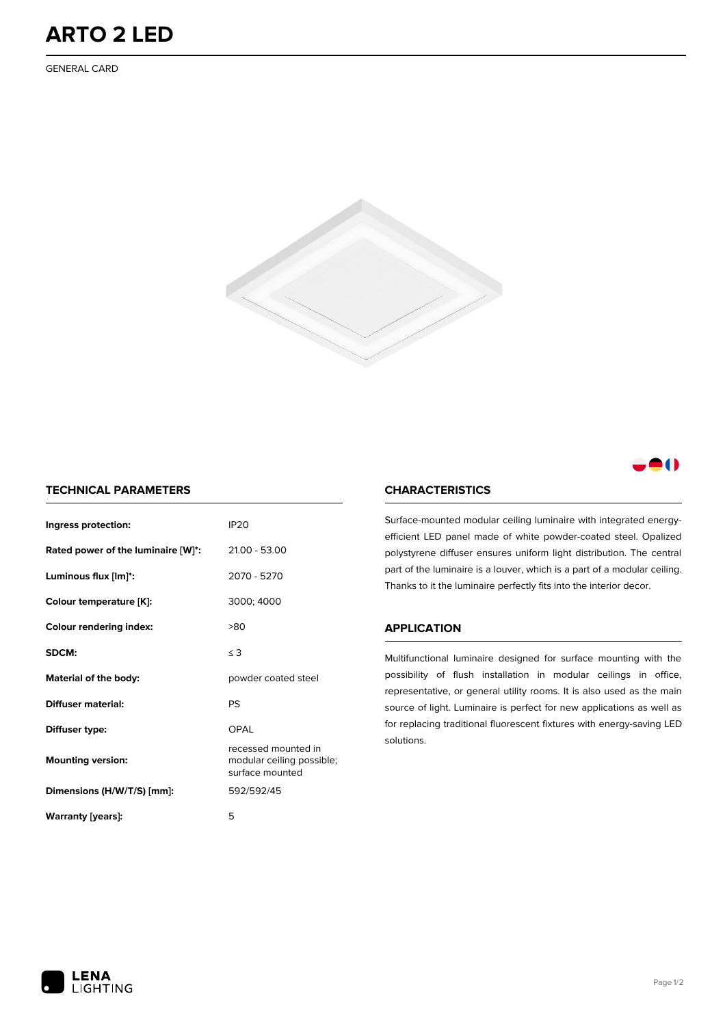GENERAL CARD





## **TECHNICAL PARAMETERS**

| Ingress protection:                | <b>IP20</b>                                                         |  |  |  |
|------------------------------------|---------------------------------------------------------------------|--|--|--|
| Rated power of the luminaire [W]*: | 21.00 - 53.00                                                       |  |  |  |
| Luminous flux [lm]*:               | 2070 - 5270                                                         |  |  |  |
| Colour temperature [K]:            | 3000; 4000                                                          |  |  |  |
| <b>Colour rendering index:</b>     | >80                                                                 |  |  |  |
| SDCM:                              | $\leq$ 3                                                            |  |  |  |
| Material of the body:              | powder coated steel                                                 |  |  |  |
| Diffuser material:                 | <b>PS</b>                                                           |  |  |  |
| Diffuser type:                     | OPAL                                                                |  |  |  |
| <b>Mounting version:</b>           | recessed mounted in<br>modular ceiling possible;<br>surface mounted |  |  |  |
| Dimensions (H/W/T/S) [mm]:         | 592/592/45                                                          |  |  |  |
| Warranty [years]:                  | 5                                                                   |  |  |  |

# **CHARACTERISTICS**

Surface-mounted modular ceiling luminaire with integrated energyefficient LED panel made of white powder-coated steel. Opalized polystyrene diffuser ensures uniform light distribution. The central part of the luminaire is a louver, which is a part of a modular ceiling. Thanks to it the luminaire perfectly fits into the interior decor.

#### **APPLICATION**

Multifunctional luminaire designed for surface mounting with the possibility of flush installation in modular ceilings in office, representative, or general utility rooms. It is also used as the main source of light. Luminaire is perfect for new applications as well as for replacing traditional fluorescent fixtures with energy-saving LED solutions.